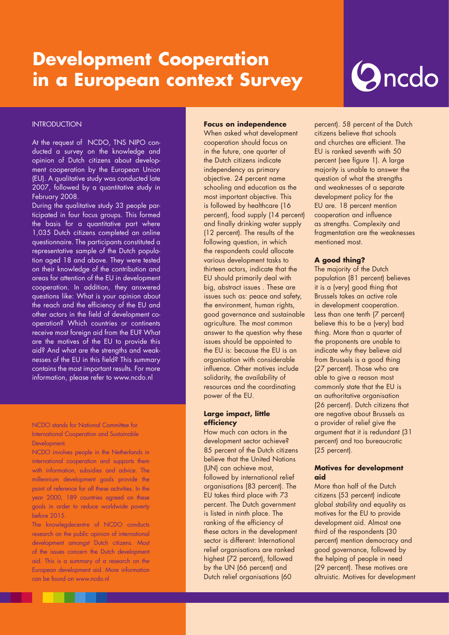# **Development Cooperation in a European context Survey**

# Oncdo

#### **INTRODUCTION**

At the request of NCDO, TNS NIPO conducted a survey on the knowledge and opinion of Dutch citizens about development cooperation by the European Union (EU). A qualitative study was conducted late 2007, followed by a quantitative study in February 2008.

During the qualitative study 33 people participated in four focus groups. This formed the basis for a quantitative part where 1,035 Dutch citizens completed an online questionnaire. The participants constituted a representative sample of the Dutch population aged 18 and above. They were tested on their knowledge of the contribution and areas for attention of the EU in development cooperation. In addition, they answered questions like: What is your opinion about the reach and the efficiency of the EU and other actors in the field of development cooperation? Which countries or continents receive most foreign aid from the EU? What are the motives of the EU to provide this aid? And what are the strengths and weaknesses of the EU in this field? This summary contains the most important results. For more information, please refer to www.ncdo.nl

#### NCDO stands for National Committee for International Cooperation and Sustainable Development.

NCDO involves people in the Netherlands in international cooperation and supports them with information, subsidies and advice. The millennium development goals provide the point of reference for all these activities. In the year 2000, 189 countries agreed on these goals in order to reduce worldwide poverty before 2015. NCDO stands for National Committee for<br>International Cooperation and Sustainable<br>Development.<br>NCDO involves people in the Netherlands in<br>international cooperation and supports them<br>with information, subsidies and advice. T

The knowlegdecentre of NCDO conducts research on the public opinion of international development amongst Dutch citizens. Most of the issues concern the Dutch development aid. This is a summary of a research on the European development aid. More information can be found on www.ncdo.nl year 2000, 189 countries agreed on these<br>goals in order to reduce worldwide poverty<br>before 2015.<br>The knowlegdecentre of NCDO conducts<br>research on the public opinion of international<br>development amongst Dutch citizens. Most

#### **Focus on independence**

When asked what development cooperation should focus on in the future, one quarter of the Dutch citizens indicate independency as primary objective. 24 percent name schooling and education as the most important objective. This is followed by healthcare (16 percent), food supply (14 percent) and finally drinking water supply (12 percent). The results of the following question, in which the respondents could allocate various development tasks to thirteen actors, indicate that the EU should primarily deal with big, abstract issues . These are issues such as: peace and safety, the environment, human rights, good governance and sustainable agriculture. The most common answer to the question why these issues should be appointed to the EU is: because the EU is an organisation with considerable influence. Other motives include solidarity, the availability of resources and the coordinating power of the EU.

#### **Large impact, little efficiency**

How much can actors in the development sector achieve? 85 percent of the Dutch citizens believe that the United Nations (UN) can achieve most, followed by international relief organisations (83 percent). The EU takes third place with 73 percent. The Dutch government is listed in ninth place. The ranking of the efficiency of these actors in the development sector is different: International relief organisations are ranked highest (72 percent), followed by the UN (66 percent) and Dutch relief organisations (60

percent). 58 percent of the Dutch citizens believe that schools and churches are efficient. The EU is ranked seventh with 50 percent (see figure 1). A large majority is unable to answer the question of what the strengths and weaknesses of a separate development policy for the EU are. 18 percent mention cooperation and influence as strengths. Complexity and fragmentation are the weaknesses mentioned most.

## **A good thing?**

The majority of the Dutch population (81 percent) believes it is a (very) good thing that Brussels takes an active role in development cooperation. Less than one tenth (7 percent) believe this to be a (very) bad thing. More than a quarter of the proponents are unable to indicate why they believe aid from Brussels is a good thing (27 percent). Those who are able to give a reason most commonly state that the EU is an authoritative organisation (26 percent). Dutch citizens that are negative about Brussels as a provider of relief give the argument that it is redundant (31 percent) and too bureaucratic (25 percent).

#### **Motives for development aid**

More than half of the Dutch citizens (53 percent) indicate global stability and equality as motives for the EU to provide development aid. Almost one third of the respondents (30 percent) mention democracy and good governance, followed by the helping of people in need (29 percent). These motives are altruistic. Motives for development